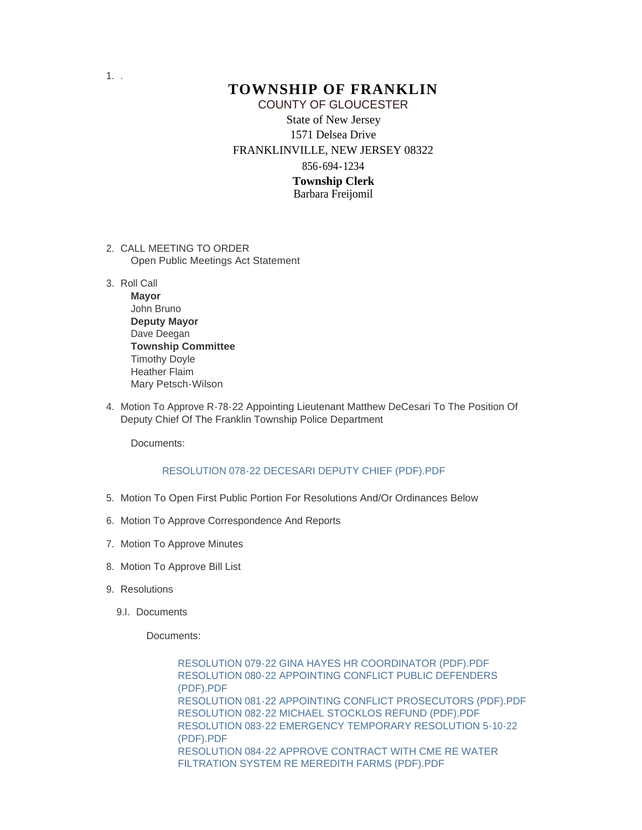## **TOWNSHIP OF FRANKLIN** State of New Jersey 1571 Delsea Drive FRANKLINVILLE, NEW JERSEY 08322 856-694-1234 **Township Clerk** Barbara Freijomil COUNTY OF GLOUCESTER

- 2. CALL MEETING TO ORDER Open Public Meetings Act Statement
- 3. Roll Call
	- **Mayor** John Bruno **Deputy Mayor** Dave Deegan **Township Committee** Timothy Doyle Heather Flaim Mary Petsch-Wilson
- 4. Motion To Approve R-78-22 Appointing Lieutenant Matthew DeCesari To The Position Of Deputy Chief Of The Franklin Township Police Department

Documents:

#### RESOLUTION 078-22 DECESARI DEPUTY CHIEF (PDF).PDF

- 5. Motion To Open First Public Portion For Resolutions And/Or Ordinances Below
- 6. Motion To Approve Correspondence And Reports
- 7. Motion To Approve Minutes
- 8. Motion To Approve Bill List
- 9. Resolutions
	- 9.I. Documents

Documents:

RESOLUTION 079-22 GINA HAYES HR COORDINATOR (PDF).PDF RESOLUTION 080-22 APPOINTING CONFLICT PUBLIC DEFENDERS (PDF).PDF RESOLUTION 081-22 APPOINTING CONFLICT PROSECUTORS (PDF).PDF RESOLUTION 082-22 MICHAEL STOCKLOS REFUND (PDF).PDF RESOLUTION 083-22 EMERGENCY TEMPORARY RESOLUTION 5-10-22 (PDF).PDF RESOLUTION 084-22 APPROVE CONTRACT WITH CME RE WATER FILTRATION SYSTEM RE MEREDITH FARMS (PDF).PDF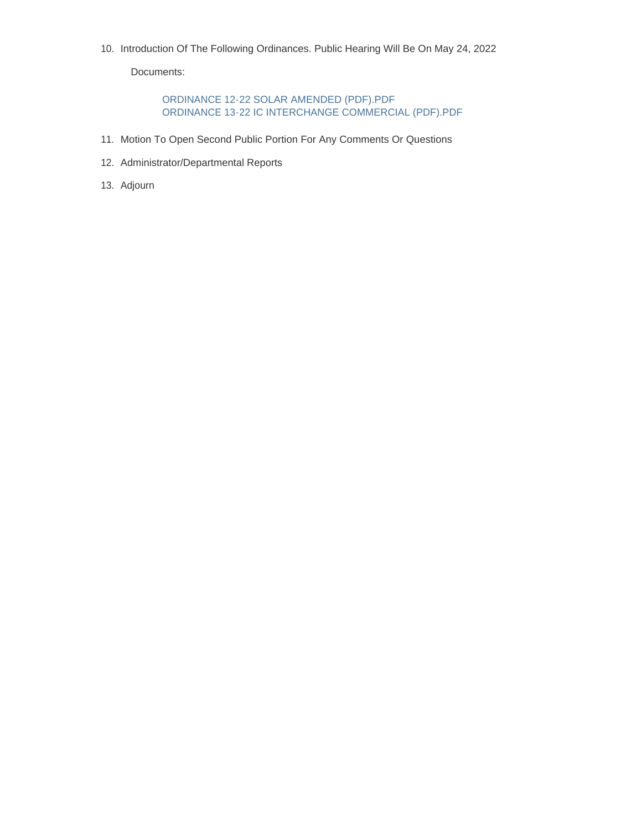10. Introduction Of The Following Ordinances. Public Hearing Will Be On May 24, 2022

Documents:

ORDINANCE 12-22 SOLAR AMENDED (PDF).PDF ORDINANCE 13-22 IC INTERCHANGE COMMERCIAL (PDF).PDF

- 11. Motion To Open Second Public Portion For Any Comments Or Questions
- 12. Administrator/Departmental Reports
- 13. Adjourn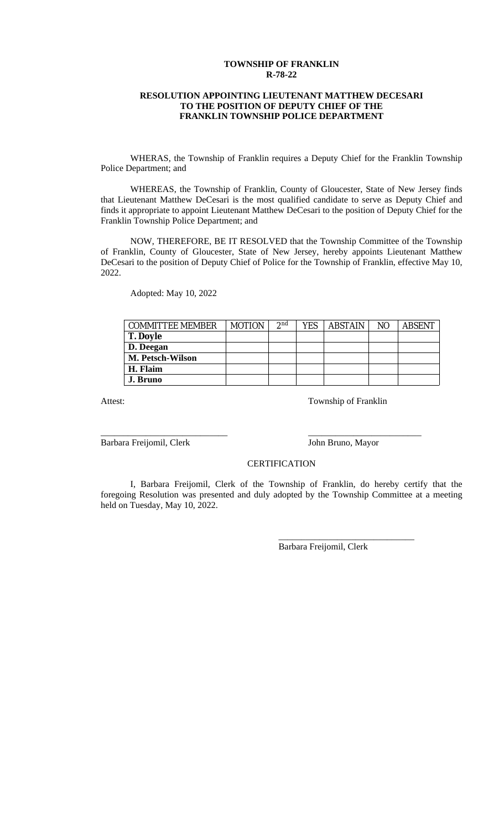#### **TOWNSHIP OF FRANKLIN R-78-22**

#### **RESOLUTION APPOINTING LIEUTENANT MATTHEW DECESARI TO THE POSITION OF DEPUTY CHIEF OF THE FRANKLIN TOWNSHIP POLICE DEPARTMENT**

WHERAS, the Township of Franklin requires a Deputy Chief for the Franklin Township Police Department; and

WHEREAS, the Township of Franklin, County of Gloucester, State of New Jersey finds that Lieutenant Matthew DeCesari is the most qualified candidate to serve as Deputy Chief and finds it appropriate to appoint Lieutenant Matthew DeCesari to the position of Deputy Chief for the Franklin Township Police Department; and

NOW, THEREFORE, BE IT RESOLVED that the Township Committee of the Township of Franklin, County of Gloucester, State of New Jersey, hereby appoints Lieutenant Matthew DeCesari to the position of Deputy Chief of Police for the Township of Franklin, effective May 10, 2022.

Adopted: May 10, 2022

| <b>COMMITTEE MEMBER</b> | <b>MOTION</b> | 2nd | YES | <b>ABSTAIN</b> | NO | <b>ABSENT</b> |
|-------------------------|---------------|-----|-----|----------------|----|---------------|
| <b>T. Doyle</b>         |               |     |     |                |    |               |
| D. Deegan               |               |     |     |                |    |               |
| M. Petsch-Wilson        |               |     |     |                |    |               |
| H. Flaim                |               |     |     |                |    |               |
| J. Bruno                |               |     |     |                |    |               |

Attest: Township of Franklin

Barbara Freijomil, Clerk John Bruno, Mayor

\_\_\_\_\_\_\_\_\_\_\_\_\_\_\_\_\_\_\_\_\_\_\_\_\_\_\_\_ \_\_\_\_\_\_\_\_\_\_\_\_\_\_\_\_\_\_\_\_\_\_\_\_\_

\_\_\_\_\_\_\_\_\_\_\_\_\_\_\_\_\_\_\_\_\_\_\_\_\_\_\_\_\_\_

**CERTIFICATION** 

I, Barbara Freijomil, Clerk of the Township of Franklin, do hereby certify that the foregoing Resolution was presented and duly adopted by the Township Committee at a meeting held on Tuesday, May 10, 2022.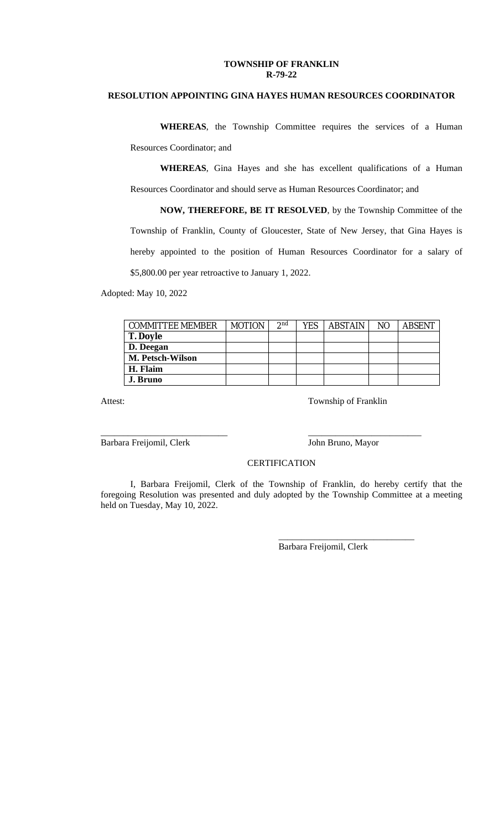#### **TOWNSHIP OF FRANKLIN R-79-22**

## **RESOLUTION APPOINTING GINA HAYES HUMAN RESOURCES COORDINATOR**

**WHEREAS**, the Township Committee requires the services of a Human Resources Coordinator; and

**WHEREAS**, Gina Hayes and she has excellent qualifications of a Human Resources Coordinator and should serve as Human Resources Coordinator; and

**NOW, THEREFORE, BE IT RESOLVED**, by the Township Committee of the Township of Franklin, County of Gloucester, State of New Jersey, that Gina Hayes is hereby appointed to the position of Human Resources Coordinator for a salary of \$5,800.00 per year retroactive to January 1, 2022.

Adopted: May 10, 2022

| <b>COMMITTEE MEMBER</b> | <b>MOTION</b> | 2 <sup>nd</sup> | YES | <b>ABSTAIN</b> | N <sub>O</sub> | <b>ABSENT</b> |
|-------------------------|---------------|-----------------|-----|----------------|----------------|---------------|
| <b>T. Doyle</b>         |               |                 |     |                |                |               |
| D. Deegan               |               |                 |     |                |                |               |
| M. Petsch-Wilson        |               |                 |     |                |                |               |
| H. Flaim                |               |                 |     |                |                |               |
| J. Bruno                |               |                 |     |                |                |               |

Attest: Township of Franklin

Barbara Freijomil, Clerk John Bruno, Mayor

\_\_\_\_\_\_\_\_\_\_\_\_\_\_\_\_\_\_\_\_\_\_\_\_\_\_\_\_\_\_

#### **CERTIFICATION**

\_\_\_\_\_\_\_\_\_\_\_\_\_\_\_\_\_\_\_\_\_\_\_\_\_\_\_\_ \_\_\_\_\_\_\_\_\_\_\_\_\_\_\_\_\_\_\_\_\_\_\_\_\_

I, Barbara Freijomil, Clerk of the Township of Franklin, do hereby certify that the foregoing Resolution was presented and duly adopted by the Township Committee at a meeting held on Tuesday, May 10, 2022.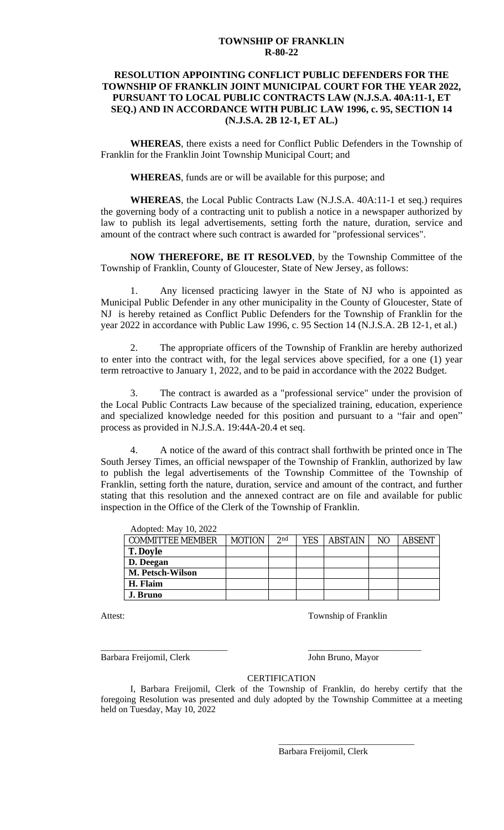#### **TOWNSHIP OF FRANKLIN R-80-22**

### **RESOLUTION APPOINTING CONFLICT PUBLIC DEFENDERS FOR THE TOWNSHIP OF FRANKLIN JOINT MUNICIPAL COURT FOR THE YEAR 2022, PURSUANT TO LOCAL PUBLIC CONTRACTS LAW (N.J.S.A. 40A:11-1, ET SEQ.) AND IN ACCORDANCE WITH PUBLIC LAW 1996, c. 95, SECTION 14 (N.J.S.A. 2B 12-1, ET AL.)**

**WHEREAS**, there exists a need for Conflict Public Defenders in the Township of Franklin for the Franklin Joint Township Municipal Court; and

**WHEREAS**, funds are or will be available for this purpose; and

**WHEREAS**, the Local Public Contracts Law (N.J.S.A. 40A:11-1 et seq.) requires the governing body of a contracting unit to publish a notice in a newspaper authorized by law to publish its legal advertisements, setting forth the nature, duration, service and amount of the contract where such contract is awarded for "professional services".

**NOW THEREFORE, BE IT RESOLVED**, by the Township Committee of the Township of Franklin, County of Gloucester, State of New Jersey, as follows:

1. Any licensed practicing lawyer in the State of NJ who is appointed as Municipal Public Defender in any other municipality in the County of Gloucester, State of NJ is hereby retained as Conflict Public Defenders for the Township of Franklin for the year 2022 in accordance with Public Law 1996, c. 95 Section 14 (N.J.S.A. 2B 12-1, et al.)

2. The appropriate officers of the Township of Franklin are hereby authorized to enter into the contract with, for the legal services above specified, for a one (1) year term retroactive to January 1, 2022, and to be paid in accordance with the 2022 Budget.

3. The contract is awarded as a "professional service" under the provision of the Local Public Contracts Law because of the specialized training, education, experience and specialized knowledge needed for this position and pursuant to a "fair and open" process as provided in N.J.S.A. 19:44A-20.4 et seq.

4. A notice of the award of this contract shall forthwith be printed once in The South Jersey Times, an official newspaper of the Township of Franklin, authorized by law to publish the legal advertisements of the Township Committee of the Township of Franklin, setting forth the nature, duration, service and amount of the contract, and further stating that this resolution and the annexed contract are on file and available for public inspection in the Office of the Clerk of the Township of Franklin.

| Adopted: May 10, 2022   |               |                 |     |                |                |               |
|-------------------------|---------------|-----------------|-----|----------------|----------------|---------------|
| <b>COMMITTEE MEMBER</b> | <b>MOTION</b> | 2 <sub>nd</sub> | YES | <b>ABSTAIN</b> | N <sub>O</sub> | <b>ABSENT</b> |
| <b>T. Doyle</b>         |               |                 |     |                |                |               |
| D. Deegan               |               |                 |     |                |                |               |
| M. Petsch-Wilson        |               |                 |     |                |                |               |
| H. Flaim                |               |                 |     |                |                |               |
| J. Bruno                |               |                 |     |                |                |               |

Attest: Township of Franklin

Barbara Freijomil, Clerk John Bruno, Mayor

\_\_\_\_\_\_\_\_\_\_\_\_\_\_\_\_\_\_\_\_\_\_\_\_\_\_\_\_\_\_

### **CERTIFICATION**

\_\_\_\_\_\_\_\_\_\_\_\_\_\_\_\_\_\_\_\_\_\_\_\_\_\_\_\_ \_\_\_\_\_\_\_\_\_\_\_\_\_\_\_\_\_\_\_\_\_\_\_\_\_

I, Barbara Freijomil, Clerk of the Township of Franklin, do hereby certify that the foregoing Resolution was presented and duly adopted by the Township Committee at a meeting held on Tuesday, May 10, 2022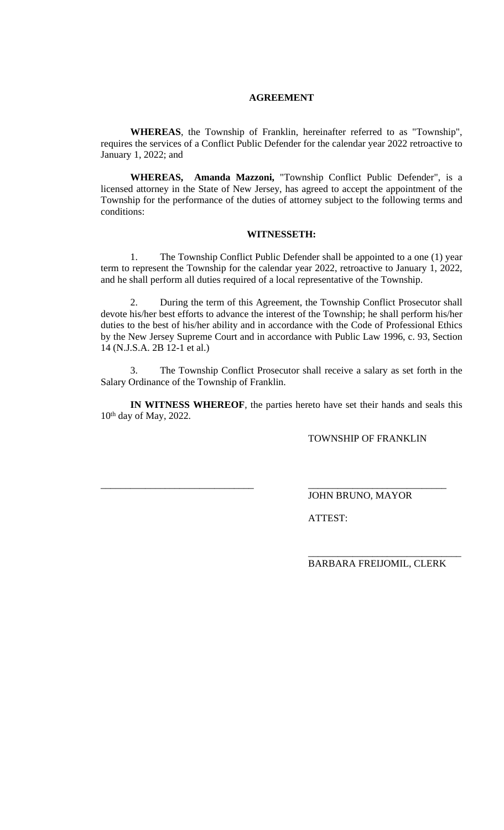### **AGREEMENT**

**WHEREAS**, the Township of Franklin, hereinafter referred to as "Township", requires the services of a Conflict Public Defender for the calendar year 2022 retroactive to January 1, 2022; and

**WHEREAS, Amanda Mazzoni,** "Township Conflict Public Defender", is a licensed attorney in the State of New Jersey, has agreed to accept the appointment of the Township for the performance of the duties of attorney subject to the following terms and conditions:

#### **WITNESSETH:**

1. The Township Conflict Public Defender shall be appointed to a one (1) year term to represent the Township for the calendar year 2022, retroactive to January 1, 2022, and he shall perform all duties required of a local representative of the Township.

2. During the term of this Agreement, the Township Conflict Prosecutor shall devote his/her best efforts to advance the interest of the Township; he shall perform his/her duties to the best of his/her ability and in accordance with the Code of Professional Ethics by the New Jersey Supreme Court and in accordance with Public Law 1996, c. 93, Section 14 (N.J.S.A. 2B 12-1 et al.)

3. The Township Conflict Prosecutor shall receive a salary as set forth in the Salary Ordinance of the Township of Franklin.

**IN WITNESS WHEREOF**, the parties hereto have set their hands and seals this 10 th day of May, 2022.

\_\_\_\_\_\_\_\_\_\_\_\_\_\_\_\_\_\_\_\_\_\_\_\_\_\_\_\_\_\_\_ \_\_\_\_\_\_\_\_\_\_\_\_\_\_\_\_\_\_\_\_\_\_\_\_\_\_\_\_

TOWNSHIP OF FRANKLIN

JOHN BRUNO, MAYOR

ATTEST:

BARBARA FREIJOMIL, CLERK

\_\_\_\_\_\_\_\_\_\_\_\_\_\_\_\_\_\_\_\_\_\_\_\_\_\_\_\_\_\_\_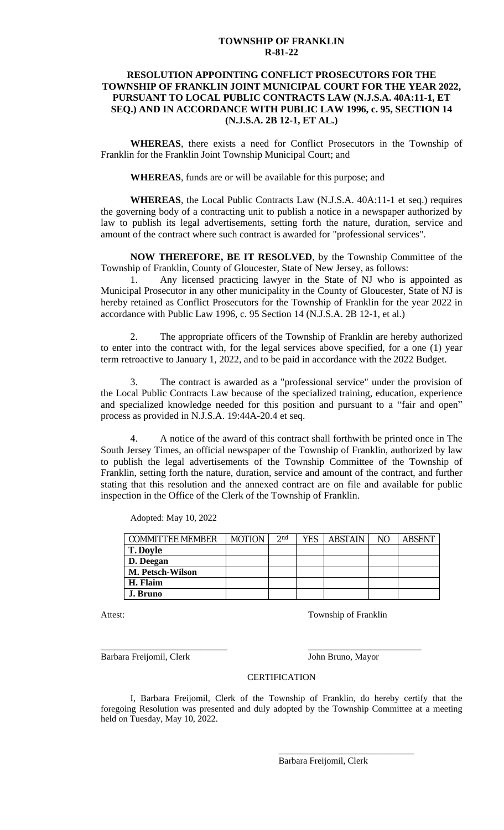#### **TOWNSHIP OF FRANKLIN R-81-22**

### **RESOLUTION APPOINTING CONFLICT PROSECUTORS FOR THE TOWNSHIP OF FRANKLIN JOINT MUNICIPAL COURT FOR THE YEAR 2022, PURSUANT TO LOCAL PUBLIC CONTRACTS LAW (N.J.S.A. 40A:11-1, ET SEQ.) AND IN ACCORDANCE WITH PUBLIC LAW 1996, c. 95, SECTION 14 (N.J.S.A. 2B 12-1, ET AL.)**

**WHEREAS**, there exists a need for Conflict Prosecutors in the Township of Franklin for the Franklin Joint Township Municipal Court; and

**WHEREAS**, funds are or will be available for this purpose; and

**WHEREAS**, the Local Public Contracts Law (N.J.S.A. 40A:11-1 et seq.) requires the governing body of a contracting unit to publish a notice in a newspaper authorized by law to publish its legal advertisements, setting forth the nature, duration, service and amount of the contract where such contract is awarded for "professional services".

**NOW THEREFORE, BE IT RESOLVED**, by the Township Committee of the Township of Franklin, County of Gloucester, State of New Jersey, as follows:

1. Any licensed practicing lawyer in the State of NJ who is appointed as Municipal Prosecutor in any other municipality in the County of Gloucester, State of NJ is hereby retained as Conflict Prosecutors for the Township of Franklin for the year 2022 in accordance with Public Law 1996, c. 95 Section 14 (N.J.S.A. 2B 12-1, et al.)

2. The appropriate officers of the Township of Franklin are hereby authorized to enter into the contract with, for the legal services above specified, for a one (1) year term retroactive to January 1, 2022, and to be paid in accordance with the 2022 Budget.

3. The contract is awarded as a "professional service" under the provision of the Local Public Contracts Law because of the specialized training, education, experience and specialized knowledge needed for this position and pursuant to a "fair and open" process as provided in N.J.S.A. 19:44A-20.4 et seq.

4. A notice of the award of this contract shall forthwith be printed once in The South Jersey Times, an official newspaper of the Township of Franklin, authorized by law to publish the legal advertisements of the Township Committee of the Township of Franklin, setting forth the nature, duration, service and amount of the contract, and further stating that this resolution and the annexed contract are on file and available for public inspection in the Office of the Clerk of the Township of Franklin.

| <b>COMMITTEE MEMBER</b> | <b>MOTION</b> | 2 <sup>nd</sup> | YES. | <b>ABSTAIN</b> | NO. | <b>ABSENT</b> |
|-------------------------|---------------|-----------------|------|----------------|-----|---------------|
| <b>T. Doyle</b>         |               |                 |      |                |     |               |
| D. Deegan               |               |                 |      |                |     |               |
| M. Petsch-Wilson        |               |                 |      |                |     |               |
| H. Flaim                |               |                 |      |                |     |               |
| J. Bruno                |               |                 |      |                |     |               |

Adopted: May 10, 2022

Attest: Township of Franklin

Barbara Freijomil, Clerk John Bruno, Mayor

\_\_\_\_\_\_\_\_\_\_\_\_\_\_\_\_\_\_\_\_\_\_\_\_\_\_\_\_ \_\_\_\_\_\_\_\_\_\_\_\_\_\_\_\_\_\_\_\_\_\_\_\_\_

\_\_\_\_\_\_\_\_\_\_\_\_\_\_\_\_\_\_\_\_\_\_\_\_\_\_\_\_\_\_

### **CERTIFICATION**

I, Barbara Freijomil, Clerk of the Township of Franklin, do hereby certify that the foregoing Resolution was presented and duly adopted by the Township Committee at a meeting held on Tuesday, May 10, 2022.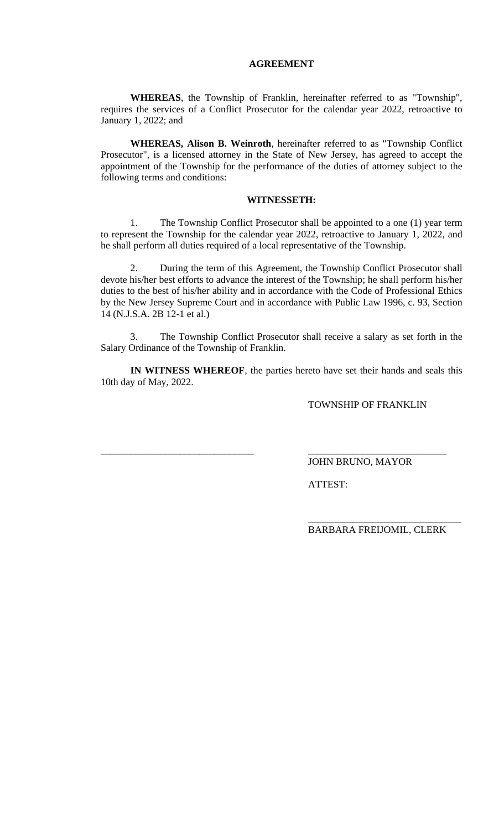#### **AGREEMENT**

**WHEREAS**, the Township of Franklin, hereinafter referred to as "Township", requires the services of a Conflict Prosecutor for the calendar year 2022, retroactive to January 1, 2022; and

**WHEREAS, Alison B. Weinroth**, hereinafter referred to as "Township Conflict Prosecutor", is a licensed attorney in the State of New Jersey, has agreed to accept the appointment of the Township for the performance of the duties of attorney subject to the following terms and conditions:

### **WITNESSETH:**

1. The Township Conflict Prosecutor shall be appointed to a one (1) year term to represent the Township for the calendar year 2022, retroactive to January 1, 2022, and he shall perform all duties required of a local representative of the Township.

2. During the term of this Agreement, the Township Conflict Prosecutor shall devote his/her best efforts to advance the interest of the Township; he shall perform his/her duties to the best of his/her ability and in accordance with the Code of Professional Ethics by the New Jersey Supreme Court and in accordance with Public Law 1996, c. 93, Section 14 (N.J.S.A. 2B 12-1 et al.)

3. The Township Conflict Prosecutor shall receive a salary as set forth in the Salary Ordinance of the Township of Franklin.

**IN WITNESS WHEREOF**, the parties hereto have set their hands and seals this 10th day of May, 2022.

\_\_\_\_\_\_\_\_\_\_\_\_\_\_\_\_\_\_\_\_\_\_\_\_\_\_\_\_\_\_\_ \_\_\_\_\_\_\_\_\_\_\_\_\_\_\_\_\_\_\_\_\_\_\_\_\_\_\_\_

TOWNSHIP OF FRANKLIN

JOHN BRUNO, MAYOR

ATTEST:

BARBARA FREIJOMIL, CLERK

\_\_\_\_\_\_\_\_\_\_\_\_\_\_\_\_\_\_\_\_\_\_\_\_\_\_\_\_\_\_\_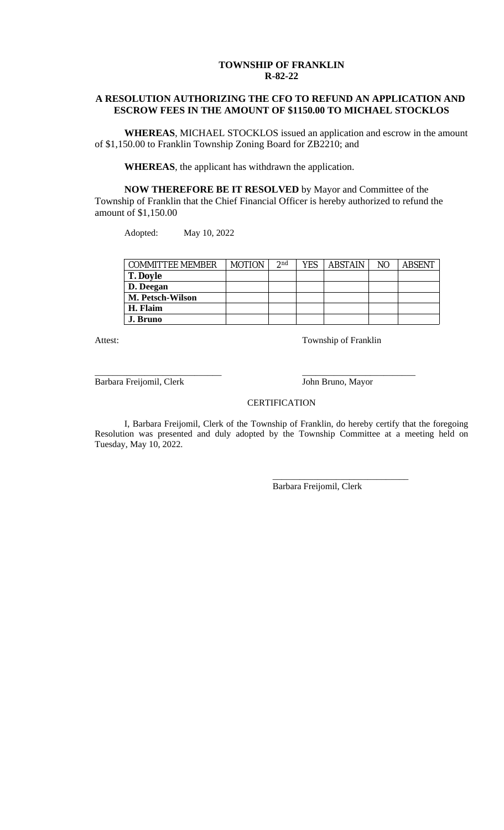## **TOWNSHIP OF FRANKLIN R-82-22**

### **A RESOLUTION AUTHORIZING THE CFO TO REFUND AN APPLICATION AND ESCROW FEES IN THE AMOUNT OF \$1150.00 TO MICHAEL STOCKLOS**

**WHEREAS**, MICHAEL STOCKLOS issued an application and escrow in the amount of \$1,150.00 to Franklin Township Zoning Board for ZB2210; and

**WHEREAS**, the applicant has withdrawn the application.

**NOW THEREFORE BE IT RESOLVED** by Mayor and Committee of the Township of Franklin that the Chief Financial Officer is hereby authorized to refund the amount of \$1,150.00

Adopted: May 10, 2022

| <b>COMMITTEE MEMBER</b> | <b>MOTION</b> | 2 <sub>nd</sub> | YES | <b>ABSTAIN</b> | NO. | <b>ABSENT</b> |
|-------------------------|---------------|-----------------|-----|----------------|-----|---------------|
| <b>T. Doyle</b>         |               |                 |     |                |     |               |
| D. Deegan               |               |                 |     |                |     |               |
| <b>M. Petsch-Wilson</b> |               |                 |     |                |     |               |
| H. Flaim                |               |                 |     |                |     |               |
| J. Bruno                |               |                 |     |                |     |               |

Attest: Township of Franklin

Barbara Freijomil, Clerk John Bruno, Mayor

\_\_\_\_\_\_\_\_\_\_\_\_\_\_\_\_\_\_\_\_\_\_\_\_\_\_\_\_ \_\_\_\_\_\_\_\_\_\_\_\_\_\_\_\_\_\_\_\_\_\_\_\_\_

\_\_\_\_\_\_\_\_\_\_\_\_\_\_\_\_\_\_\_\_\_\_\_\_\_\_\_\_\_\_

#### **CERTIFICATION**

I, Barbara Freijomil, Clerk of the Township of Franklin, do hereby certify that the foregoing Resolution was presented and duly adopted by the Township Committee at a meeting held on Tuesday, May 10, 2022.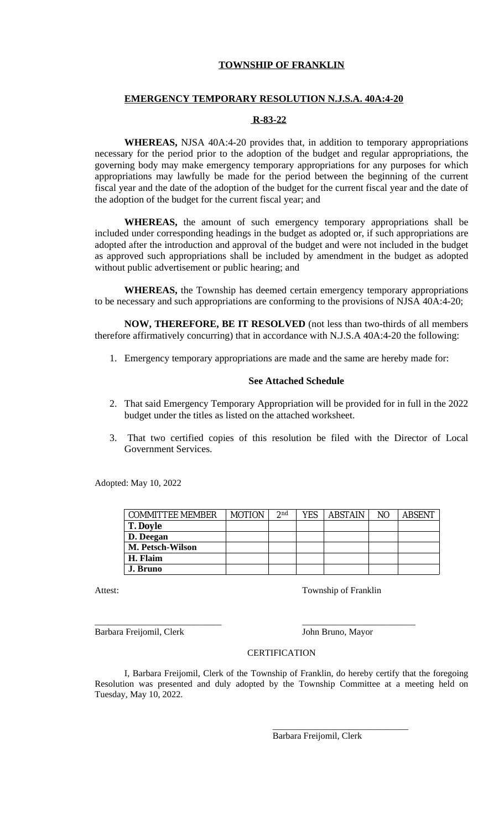### **TOWNSHIP OF FRANKLIN**

#### **EMERGENCY TEMPORARY RESOLUTION N.J.S.A. 40A:4-20**

#### **R-83-22**

**WHEREAS,** NJSA 40A:4-20 provides that, in addition to temporary appropriations necessary for the period prior to the adoption of the budget and regular appropriations, the governing body may make emergency temporary appropriations for any purposes for which appropriations may lawfully be made for the period between the beginning of the current fiscal year and the date of the adoption of the budget for the current fiscal year and the date of the adoption of the budget for the current fiscal year; and

**WHEREAS,** the amount of such emergency temporary appropriations shall be included under corresponding headings in the budget as adopted or, if such appropriations are adopted after the introduction and approval of the budget and were not included in the budget as approved such appropriations shall be included by amendment in the budget as adopted without public advertisement or public hearing; and

**WHEREAS,** the Township has deemed certain emergency temporary appropriations to be necessary and such appropriations are conforming to the provisions of NJSA 40A:4-20;

**NOW, THEREFORE, BE IT RESOLVED** (not less than two-thirds of all members therefore affirmatively concurring) that in accordance with N.J.S.A 40A:4-20 the following:

1. Emergency temporary appropriations are made and the same are hereby made for:

#### **See Attached Schedule**

- 2. That said Emergency Temporary Appropriation will be provided for in full in the 2022 budget under the titles as listed on the attached worksheet.
- 3. That two certified copies of this resolution be filed with the Director of Local Government Services.

Adopted: May 10, 2022

| <b>COMMITTEE MEMBER</b> | <b>MOTION</b> | 2 <sup>nd</sup> | YES | <b>ABSTAIN</b> | N <sub>O</sub> | <b>ABSENT</b> |
|-------------------------|---------------|-----------------|-----|----------------|----------------|---------------|
| <b>T. Doyle</b>         |               |                 |     |                |                |               |
| D. Deegan               |               |                 |     |                |                |               |
| M. Petsch-Wilson        |               |                 |     |                |                |               |
| H. Flaim                |               |                 |     |                |                |               |
| J. Bruno                |               |                 |     |                |                |               |

Attest: Township of Franklin

Barbara Freijomil, Clerk John Bruno, Mayor

\_\_\_\_\_\_\_\_\_\_\_\_\_\_\_\_\_\_\_\_\_\_\_\_\_\_\_\_\_\_

#### **CERTIFICATION**

\_\_\_\_\_\_\_\_\_\_\_\_\_\_\_\_\_\_\_\_\_\_\_\_\_\_\_\_ \_\_\_\_\_\_\_\_\_\_\_\_\_\_\_\_\_\_\_\_\_\_\_\_\_

I, Barbara Freijomil, Clerk of the Township of Franklin, do hereby certify that the foregoing Resolution was presented and duly adopted by the Township Committee at a meeting held on Tuesday, May 10, 2022.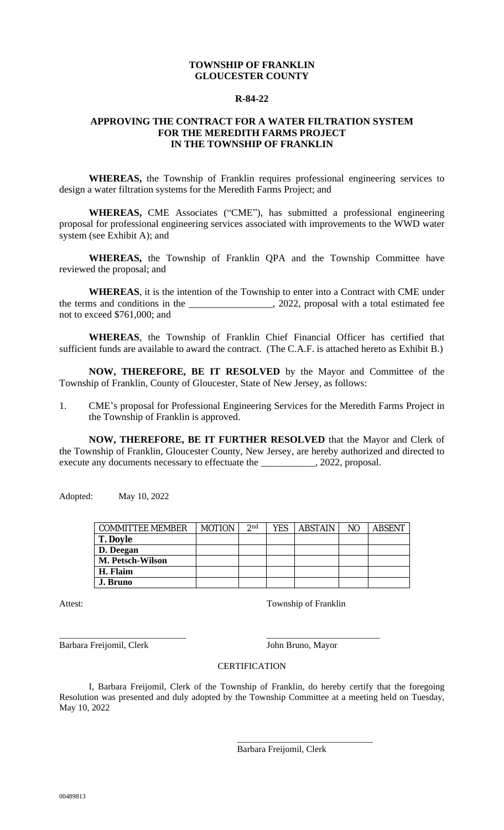## **TOWNSHIP OF FRANKLIN GLOUCESTER COUNTY**

#### **R-84-22**

### **APPROVING THE CONTRACT FOR A WATER FILTRATION SYSTEM FOR THE MEREDITH FARMS PROJECT IN THE TOWNSHIP OF FRANKLIN**

**WHEREAS,** the Township of Franklin requires professional engineering services to design a water filtration systems for the Meredith Farms Project; and

**WHEREAS,** CME Associates ("CME"), has submitted a professional engineering proposal for professional engineering services associated with improvements to the WWD water system (see Exhibit A); and

**WHEREAS,** the Township of Franklin QPA and the Township Committee have reviewed the proposal; and

**WHEREAS**, it is the intention of the Township to enter into a Contract with CME under the terms and conditions in the \_\_\_\_\_\_\_\_\_\_\_\_\_\_\_\_\_, 2022, proposal with a total estimated fee not to exceed \$761,000; and

**WHEREAS**, the Township of Franklin Chief Financial Officer has certified that sufficient funds are available to award the contract. (The C.A.F. is attached hereto as Exhibit B.)

**NOW, THEREFORE, BE IT RESOLVED** by the Mayor and Committee of the Township of Franklin, County of Gloucester, State of New Jersey, as follows:

1. CME's proposal for Professional Engineering Services for the Meredith Farms Project in the Township of Franklin is approved.

**NOW, THEREFORE, BE IT FURTHER RESOLVED** that the Mayor and Clerk of the Township of Franklin, Gloucester County, New Jersey, are hereby authorized and directed to execute any documents necessary to effectuate the \_\_\_\_\_\_\_\_\_\_, 2022, proposal.

Adopted: May 10, 2022

| <b>COMMITTEE MEMBER</b> | <b>MOTION</b> | 2 <sub>nd</sub> | YES | <b>ABSTAIN</b> | N <sub>O</sub> | <b>ABSENT</b> |
|-------------------------|---------------|-----------------|-----|----------------|----------------|---------------|
| <b>T. Doyle</b>         |               |                 |     |                |                |               |
| D. Deegan               |               |                 |     |                |                |               |
| M. Petsch-Wilson        |               |                 |     |                |                |               |
| H. Flaim                |               |                 |     |                |                |               |
| J. Bruno                |               |                 |     |                |                |               |

Attest: Township of Franklin

Barbara Freijomil, Clerk John Bruno, Mayor

\_\_\_\_\_\_\_\_\_\_\_\_\_\_\_\_\_\_\_\_\_\_\_\_\_\_\_\_ \_\_\_\_\_\_\_\_\_\_\_\_\_\_\_\_\_\_\_\_\_\_\_\_\_

### **CERTIFICATION**

I, Barbara Freijomil, Clerk of the Township of Franklin, do hereby certify that the foregoing Resolution was presented and duly adopted by the Township Committee at a meeting held on Tuesday, May 10, 2022

> \_\_\_\_\_\_\_\_\_\_\_\_\_\_\_\_\_\_\_\_\_\_\_\_\_\_\_\_\_\_ Barbara Freijomil, Clerk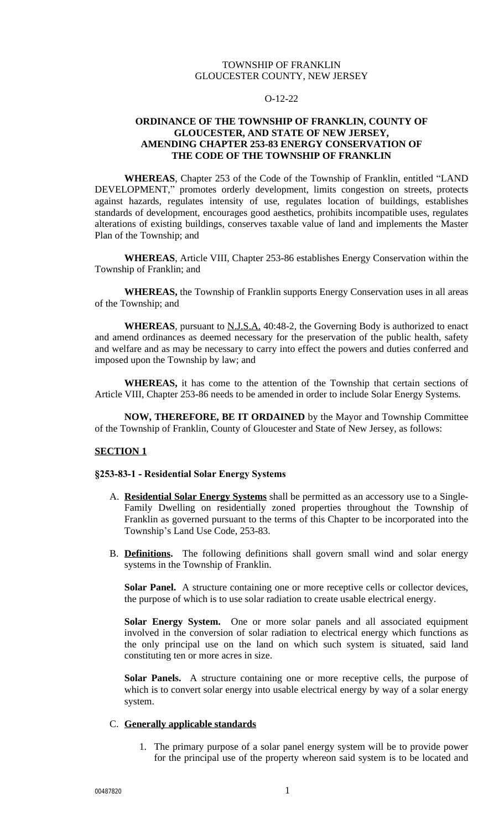### TOWNSHIP OF FRANKLIN GLOUCESTER COUNTY, NEW JERSEY

#### O-12-22

### **ORDINANCE OF THE TOWNSHIP OF FRANKLIN, COUNTY OF GLOUCESTER, AND STATE OF NEW JERSEY, AMENDING CHAPTER 253-83 ENERGY CONSERVATION OF THE CODE OF THE TOWNSHIP OF FRANKLIN**

**WHEREAS**, Chapter 253 of the Code of the Township of Franklin, entitled "LAND DEVELOPMENT," promotes orderly development, limits congestion on streets, protects against hazards, regulates intensity of use, regulates location of buildings, establishes standards of development, encourages good aesthetics, prohibits incompatible uses, regulates alterations of existing buildings, conserves taxable value of land and implements the Master Plan of the Township; and

**WHEREAS**, Article VIII, Chapter 253-86 establishes Energy Conservation within the Township of Franklin; and

**WHEREAS,** the Township of Franklin supports Energy Conservation uses in all areas of the Township; and

**WHEREAS**, pursuant to N.J.S.A. 40:48-2, the Governing Body is authorized to enact and amend ordinances as deemed necessary for the preservation of the public health, safety and welfare and as may be necessary to carry into effect the powers and duties conferred and imposed upon the Township by law; and

**WHEREAS,** it has come to the attention of the Township that certain sections of Article VIII, Chapter 253-86 needs to be amended in order to include Solar Energy Systems.

**NOW, THEREFORE, BE IT ORDAINED** by the Mayor and Township Committee of the Township of Franklin, County of Gloucester and State of New Jersey, as follows:

#### **SECTION 1**

#### **§253-83-1 - Residential Solar Energy Systems**

- A. **Residential Solar Energy Systems** shall be permitted as an accessory use to a Single-Family Dwelling on residentially zoned properties throughout the Township of Franklin as governed pursuant to the terms of this Chapter to be incorporated into the Township's Land Use Code, 253-83.
- B. **Definitions.** The following definitions shall govern small wind and solar energy systems in the Township of Franklin.

**Solar Panel.** A structure containing one or more receptive cells or collector devices, the purpose of which is to use solar radiation to create usable electrical energy.

**Solar Energy System.** One or more solar panels and all associated equipment involved in the conversion of solar radiation to electrical energy which functions as the only principal use on the land on which such system is situated, said land constituting ten or more acres in size.

**Solar Panels.** A structure containing one or more receptive cells, the purpose of which is to convert solar energy into usable electrical energy by way of a solar energy system.

#### C. **Generally applicable standards**

1. The primary purpose of a solar panel energy system will be to provide power for the principal use of the property whereon said system is to be located and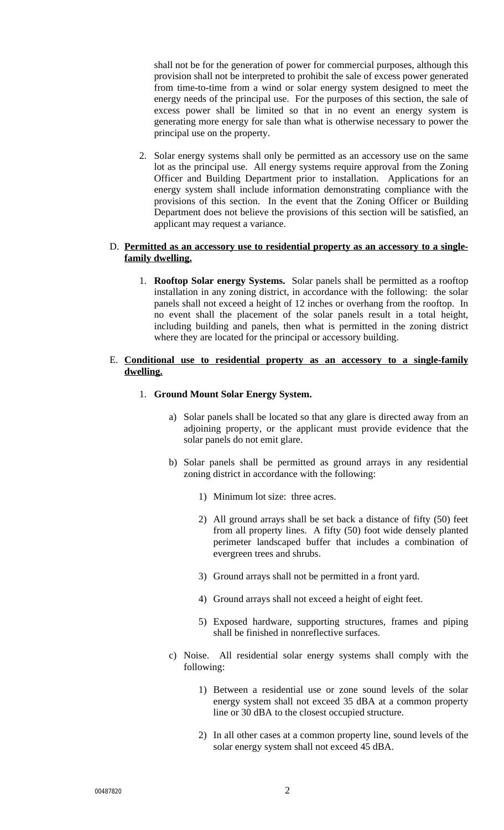shall not be for the generation of power for commercial purposes, although this provision shall not be interpreted to prohibit the sale of excess power generated from time-to-time from a wind or solar energy system designed to meet the energy needs of the principal use. For the purposes of this section, the sale of excess power shall be limited so that in no event an energy system is generating more energy for sale than what is otherwise necessary to power the principal use on the property.

2. Solar energy systems shall only be permitted as an accessory use on the same lot as the principal use. All energy systems require approval from the Zoning Officer and Building Department prior to installation. Applications for an energy system shall include information demonstrating compliance with the provisions of this section. In the event that the Zoning Officer or Building Department does not believe the provisions of this section will be satisfied, an applicant may request a variance.

### D. **Permitted as an accessory use to residential property as an accessory to a singlefamily dwelling.**

1. **Rooftop Solar energy Systems.** Solar panels shall be permitted as a rooftop installation in any zoning district, in accordance with the following: the solar panels shall not exceed a height of 12 inches or overhang from the rooftop. In no event shall the placement of the solar panels result in a total height, including building and panels, then what is permitted in the zoning district where they are located for the principal or accessory building.

## E. **Conditional use to residential property as an accessory to a single-family dwelling.**

- 1. **Ground Mount Solar Energy System.**
	- a) Solar panels shall be located so that any glare is directed away from an adjoining property, or the applicant must provide evidence that the solar panels do not emit glare.
	- b) Solar panels shall be permitted as ground arrays in any residential zoning district in accordance with the following:
		- 1) Minimum lot size: three acres.
		- 2) All ground arrays shall be set back a distance of fifty (50) feet from all property lines. A fifty (50) foot wide densely planted perimeter landscaped buffer that includes a combination of evergreen trees and shrubs.
		- 3) Ground arrays shall not be permitted in a front yard.
		- 4) Ground arrays shall not exceed a height of eight feet.
		- 5) Exposed hardware, supporting structures, frames and piping shall be finished in nonreflective surfaces.
	- c) Noise. All residential solar energy systems shall comply with the following:
		- 1) Between a residential use or zone sound levels of the solar energy system shall not exceed 35 dBA at a common property line or 30 dBA to the closest occupied structure.
		- 2) In all other cases at a common property line, sound levels of the solar energy system shall not exceed 45 dBA.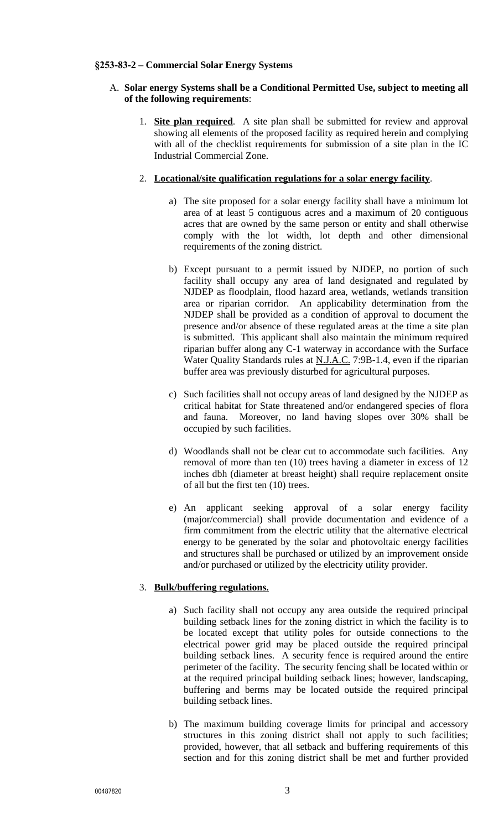#### **§253-83-2 – Commercial Solar Energy Systems**

### A. **Solar energy Systems shall be a Conditional Permitted Use, subject to meeting all of the following requirements**:

1. **Site plan required**. A site plan shall be submitted for review and approval showing all elements of the proposed facility as required herein and complying with all of the checklist requirements for submission of a site plan in the IC Industrial Commercial Zone.

### 2. **Locational/site qualification regulations for a solar energy facility**.

- a) The site proposed for a solar energy facility shall have a minimum lot area of at least 5 contiguous acres and a maximum of 20 contiguous acres that are owned by the same person or entity and shall otherwise comply with the lot width, lot depth and other dimensional requirements of the zoning district.
- b) Except pursuant to a permit issued by NJDEP, no portion of such facility shall occupy any area of land designated and regulated by NJDEP as floodplain, flood hazard area, wetlands, wetlands transition area or riparian corridor. An applicability determination from the NJDEP shall be provided as a condition of approval to document the presence and/or absence of these regulated areas at the time a site plan is submitted. This applicant shall also maintain the minimum required riparian buffer along any C-1 waterway in accordance with the Surface Water Quality Standards rules at N.J.A.C. 7:9B-1.4, even if the riparian buffer area was previously disturbed for agricultural purposes.
- c) Such facilities shall not occupy areas of land designed by the NJDEP as critical habitat for State threatened and/or endangered species of flora and fauna. Moreover, no land having slopes over 30% shall be occupied by such facilities.
- d) Woodlands shall not be clear cut to accommodate such facilities. Any removal of more than ten (10) trees having a diameter in excess of 12 inches dbh (diameter at breast height) shall require replacement onsite of all but the first ten (10) trees.
- e) An applicant seeking approval of a solar energy facility (major/commercial) shall provide documentation and evidence of a firm commitment from the electric utility that the alternative electrical energy to be generated by the solar and photovoltaic energy facilities and structures shall be purchased or utilized by an improvement onside and/or purchased or utilized by the electricity utility provider.

### 3. **Bulk/buffering regulations.**

- a) Such facility shall not occupy any area outside the required principal building setback lines for the zoning district in which the facility is to be located except that utility poles for outside connections to the electrical power grid may be placed outside the required principal building setback lines. A security fence is required around the entire perimeter of the facility. The security fencing shall be located within or at the required principal building setback lines; however, landscaping, buffering and berms may be located outside the required principal building setback lines.
- b) The maximum building coverage limits for principal and accessory structures in this zoning district shall not apply to such facilities; provided, however, that all setback and buffering requirements of this section and for this zoning district shall be met and further provided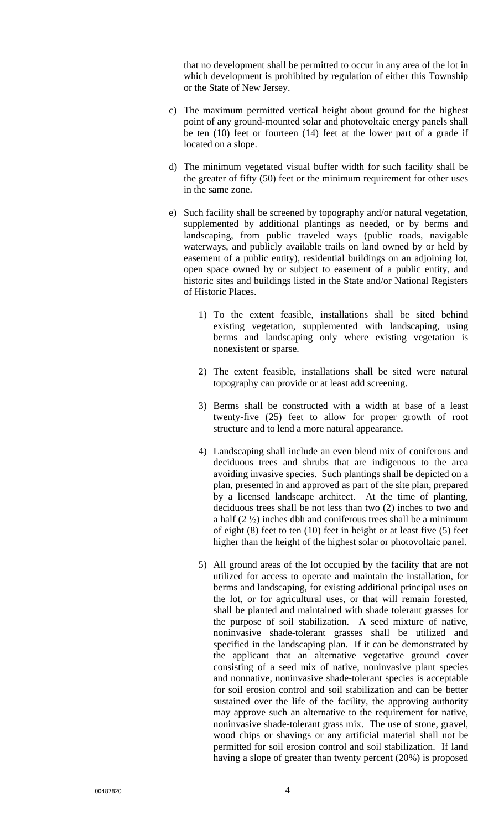that no development shall be permitted to occur in any area of the lot in which development is prohibited by regulation of either this Township or the State of New Jersey.

- c) The maximum permitted vertical height about ground for the highest point of any ground-mounted solar and photovoltaic energy panels shall be ten (10) feet or fourteen (14) feet at the lower part of a grade if located on a slope.
- d) The minimum vegetated visual buffer width for such facility shall be the greater of fifty (50) feet or the minimum requirement for other uses in the same zone.
- e) Such facility shall be screened by topography and/or natural vegetation, supplemented by additional plantings as needed, or by berms and landscaping, from public traveled ways (public roads, navigable waterways, and publicly available trails on land owned by or held by easement of a public entity), residential buildings on an adjoining lot, open space owned by or subject to easement of a public entity, and historic sites and buildings listed in the State and/or National Registers of Historic Places.
	- 1) To the extent feasible, installations shall be sited behind existing vegetation, supplemented with landscaping, using berms and landscaping only where existing vegetation is nonexistent or sparse.
	- 2) The extent feasible, installations shall be sited were natural topography can provide or at least add screening.
	- 3) Berms shall be constructed with a width at base of a least twenty-five (25) feet to allow for proper growth of root structure and to lend a more natural appearance.
	- 4) Landscaping shall include an even blend mix of coniferous and deciduous trees and shrubs that are indigenous to the area avoiding invasive species. Such plantings shall be depicted on a plan, presented in and approved as part of the site plan, prepared by a licensed landscape architect. At the time of planting, deciduous trees shall be not less than two (2) inches to two and a half  $(2 \frac{1}{2})$  inches dbh and coniferous trees shall be a minimum of eight (8) feet to ten (10) feet in height or at least five (5) feet higher than the height of the highest solar or photovoltaic panel.
	- 5) All ground areas of the lot occupied by the facility that are not utilized for access to operate and maintain the installation, for berms and landscaping, for existing additional principal uses on the lot, or for agricultural uses, or that will remain forested, shall be planted and maintained with shade tolerant grasses for the purpose of soil stabilization. A seed mixture of native, noninvasive shade-tolerant grasses shall be utilized and specified in the landscaping plan. If it can be demonstrated by the applicant that an alternative vegetative ground cover consisting of a seed mix of native, noninvasive plant species and nonnative, noninvasive shade-tolerant species is acceptable for soil erosion control and soil stabilization and can be better sustained over the life of the facility, the approving authority may approve such an alternative to the requirement for native, noninvasive shade-tolerant grass mix. The use of stone, gravel, wood chips or shavings or any artificial material shall not be permitted for soil erosion control and soil stabilization. If land having a slope of greater than twenty percent (20%) is proposed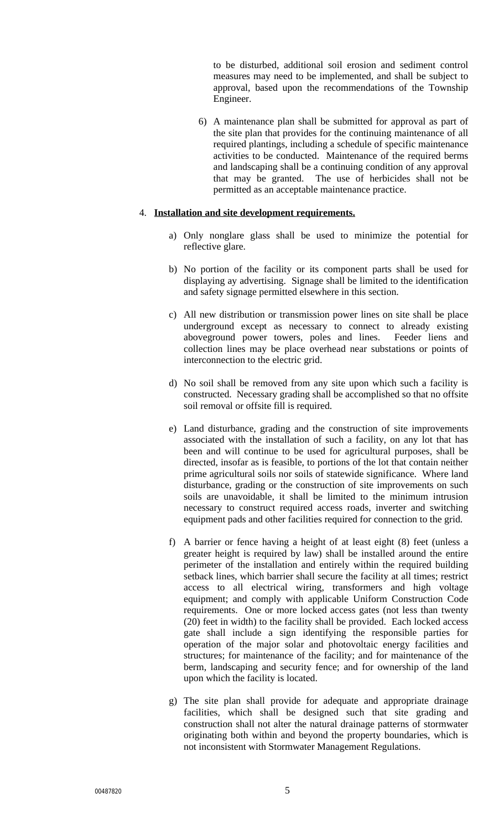to be disturbed, additional soil erosion and sediment control measures may need to be implemented, and shall be subject to approval, based upon the recommendations of the Township Engineer.

6) A maintenance plan shall be submitted for approval as part of the site plan that provides for the continuing maintenance of all required plantings, including a schedule of specific maintenance activities to be conducted. Maintenance of the required berms and landscaping shall be a continuing condition of any approval that may be granted. The use of herbicides shall not be permitted as an acceptable maintenance practice.

### 4. **Installation and site development requirements.**

- a) Only nonglare glass shall be used to minimize the potential for reflective glare.
- b) No portion of the facility or its component parts shall be used for displaying ay advertising. Signage shall be limited to the identification and safety signage permitted elsewhere in this section.
- c) All new distribution or transmission power lines on site shall be place underground except as necessary to connect to already existing aboveground power towers, poles and lines. Feeder liens and collection lines may be place overhead near substations or points of interconnection to the electric grid.
- d) No soil shall be removed from any site upon which such a facility is constructed. Necessary grading shall be accomplished so that no offsite soil removal or offsite fill is required.
- e) Land disturbance, grading and the construction of site improvements associated with the installation of such a facility, on any lot that has been and will continue to be used for agricultural purposes, shall be directed, insofar as is feasible, to portions of the lot that contain neither prime agricultural soils nor soils of statewide significance. Where land disturbance, grading or the construction of site improvements on such soils are unavoidable, it shall be limited to the minimum intrusion necessary to construct required access roads, inverter and switching equipment pads and other facilities required for connection to the grid.
- f) A barrier or fence having a height of at least eight (8) feet (unless a greater height is required by law) shall be installed around the entire perimeter of the installation and entirely within the required building setback lines, which barrier shall secure the facility at all times; restrict access to all electrical wiring, transformers and high voltage equipment; and comply with applicable Uniform Construction Code requirements. One or more locked access gates (not less than twenty (20) feet in width) to the facility shall be provided. Each locked access gate shall include a sign identifying the responsible parties for operation of the major solar and photovoltaic energy facilities and structures; for maintenance of the facility; and for maintenance of the berm, landscaping and security fence; and for ownership of the land upon which the facility is located.
- g) The site plan shall provide for adequate and appropriate drainage facilities, which shall be designed such that site grading and construction shall not alter the natural drainage patterns of stormwater originating both within and beyond the property boundaries, which is not inconsistent with Stormwater Management Regulations.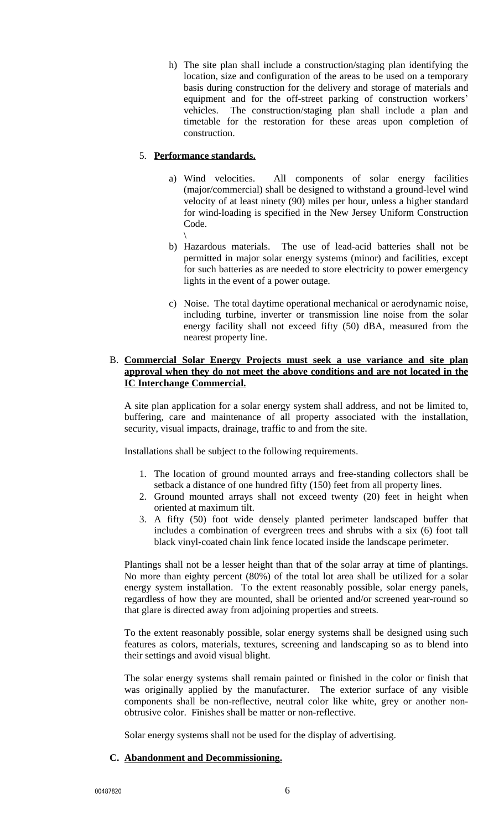h) The site plan shall include a construction/staging plan identifying the location, size and configuration of the areas to be used on a temporary basis during construction for the delivery and storage of materials and equipment and for the off-street parking of construction workers' vehicles. The construction/staging plan shall include a plan and timetable for the restoration for these areas upon completion of construction.

## 5. **Performance standards.**

- a) Wind velocities. All components of solar energy facilities (major/commercial) shall be designed to withstand a ground-level wind velocity of at least ninety (90) miles per hour, unless a higher standard for wind-loading is specified in the New Jersey Uniform Construction Code.
- \ b) Hazardous materials. The use of lead-acid batteries shall not be permitted in major solar energy systems (minor) and facilities, except for such batteries as are needed to store electricity to power emergency lights in the event of a power outage.
- c) Noise. The total daytime operational mechanical or aerodynamic noise, including turbine, inverter or transmission line noise from the solar energy facility shall not exceed fifty (50) dBA, measured from the nearest property line.

### B. **Commercial Solar Energy Projects must seek a use variance and site plan approval when they do not meet the above conditions and are not located in the IC Interchange Commercial.**

A site plan application for a solar energy system shall address, and not be limited to, buffering, care and maintenance of all property associated with the installation, security, visual impacts, drainage, traffic to and from the site.

Installations shall be subject to the following requirements.

- 1. The location of ground mounted arrays and free-standing collectors shall be setback a distance of one hundred fifty (150) feet from all property lines.
- 2. Ground mounted arrays shall not exceed twenty (20) feet in height when oriented at maximum tilt.
- 3. A fifty (50) foot wide densely planted perimeter landscaped buffer that includes a combination of evergreen trees and shrubs with a six (6) foot tall black vinyl-coated chain link fence located inside the landscape perimeter.

Plantings shall not be a lesser height than that of the solar array at time of plantings. No more than eighty percent (80%) of the total lot area shall be utilized for a solar energy system installation. To the extent reasonably possible, solar energy panels, regardless of how they are mounted, shall be oriented and/or screened year-round so that glare is directed away from adjoining properties and streets.

To the extent reasonably possible, solar energy systems shall be designed using such features as colors, materials, textures, screening and landscaping so as to blend into their settings and avoid visual blight.

The solar energy systems shall remain painted or finished in the color or finish that was originally applied by the manufacturer. The exterior surface of any visible components shall be non-reflective, neutral color like white, grey or another nonobtrusive color. Finishes shall be matter or non-reflective.

Solar energy systems shall not be used for the display of advertising.

### **C. Abandonment and Decommissioning.**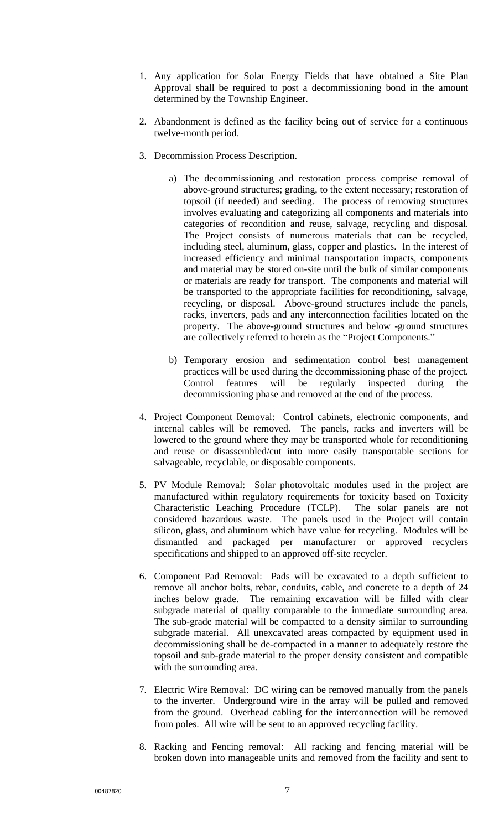- 1. Any application for Solar Energy Fields that have obtained a Site Plan Approval shall be required to post a decommissioning bond in the amount determined by the Township Engineer.
- 2. Abandonment is defined as the facility being out of service for a continuous twelve-month period.
- 3. Decommission Process Description.
	- a) The decommissioning and restoration process comprise removal of above-ground structures; grading, to the extent necessary; restoration of topsoil (if needed) and seeding. The process of removing structures involves evaluating and categorizing all components and materials into categories of recondition and reuse, salvage, recycling and disposal. The Project consists of numerous materials that can be recycled, including steel, aluminum, glass, copper and plastics. In the interest of increased efficiency and minimal transportation impacts, components and material may be stored on-site until the bulk of similar components or materials are ready for transport. The components and material will be transported to the appropriate facilities for reconditioning, salvage, recycling, or disposal. Above-ground structures include the panels, racks, inverters, pads and any interconnection facilities located on the property. The above-ground structures and below -ground structures are collectively referred to herein as the "Project Components."
	- b) Temporary erosion and sedimentation control best management practices will be used during the decommissioning phase of the project. Control features will be regularly inspected during the decommissioning phase and removed at the end of the process.
- 4. Project Component Removal: Control cabinets, electronic components, and internal cables will be removed. The panels, racks and inverters will be lowered to the ground where they may be transported whole for reconditioning and reuse or disassembled/cut into more easily transportable sections for salvageable, recyclable, or disposable components.
- 5. PV Module Removal: Solar photovoltaic modules used in the project are manufactured within regulatory requirements for toxicity based on Toxicity Characteristic Leaching Procedure (TCLP). The solar panels are not considered hazardous waste. The panels used in the Project will contain silicon, glass, and aluminum which have value for recycling. Modules will be dismantled and packaged per manufacturer or approved recyclers specifications and shipped to an approved off-site recycler.
- 6. Component Pad Removal: Pads will be excavated to a depth sufficient to remove all anchor bolts, rebar, conduits, cable, and concrete to a depth of 24 inches below grade. The remaining excavation will be filled with clear subgrade material of quality comparable to the immediate surrounding area. The sub-grade material will be compacted to a density similar to surrounding subgrade material. All unexcavated areas compacted by equipment used in decommissioning shall be de-compacted in a manner to adequately restore the topsoil and sub-grade material to the proper density consistent and compatible with the surrounding area.
- 7. Electric Wire Removal: DC wiring can be removed manually from the panels to the inverter. Underground wire in the array will be pulled and removed from the ground. Overhead cabling for the interconnection will be removed from poles. All wire will be sent to an approved recycling facility.
- 8. Racking and Fencing removal: All racking and fencing material will be broken down into manageable units and removed from the facility and sent to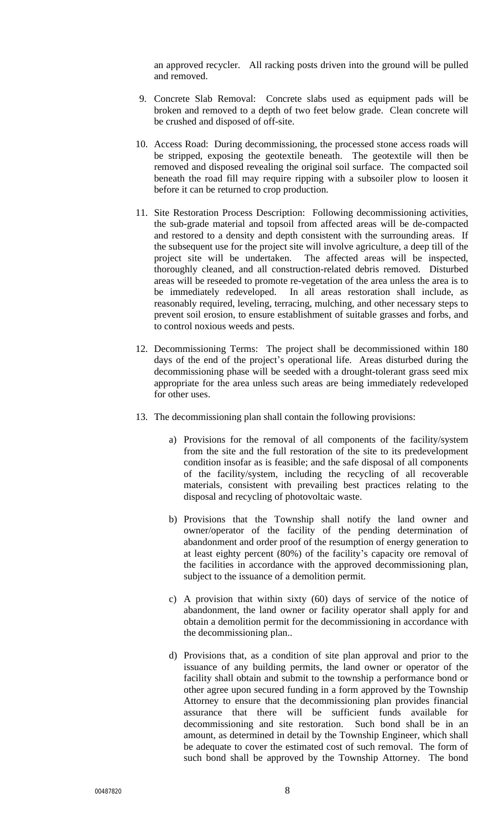an approved recycler. All racking posts driven into the ground will be pulled and removed.

- 9. Concrete Slab Removal: Concrete slabs used as equipment pads will be broken and removed to a depth of two feet below grade. Clean concrete will be crushed and disposed of off-site.
- 10. Access Road: During decommissioning, the processed stone access roads will be stripped, exposing the geotextile beneath. The geotextile will then be removed and disposed revealing the original soil surface. The compacted soil beneath the road fill may require ripping with a subsoiler plow to loosen it before it can be returned to crop production.
- 11. Site Restoration Process Description: Following decommissioning activities, the sub-grade material and topsoil from affected areas will be de-compacted and restored to a density and depth consistent with the surrounding areas. If the subsequent use for the project site will involve agriculture, a deep till of the project site will be undertaken. The affected areas will be inspected, thoroughly cleaned, and all construction-related debris removed. Disturbed areas will be reseeded to promote re-vegetation of the area unless the area is to be immediately redeveloped. In all areas restoration shall include, as reasonably required, leveling, terracing, mulching, and other necessary steps to prevent soil erosion, to ensure establishment of suitable grasses and forbs, and to control noxious weeds and pests.
- 12. Decommissioning Terms: The project shall be decommissioned within 180 days of the end of the project's operational life. Areas disturbed during the decommissioning phase will be seeded with a drought-tolerant grass seed mix appropriate for the area unless such areas are being immediately redeveloped for other uses.
- 13. The decommissioning plan shall contain the following provisions:
	- a) Provisions for the removal of all components of the facility/system from the site and the full restoration of the site to its predevelopment condition insofar as is feasible; and the safe disposal of all components of the facility/system, including the recycling of all recoverable materials, consistent with prevailing best practices relating to the disposal and recycling of photovoltaic waste.
	- b) Provisions that the Township shall notify the land owner and owner/operator of the facility of the pending determination of abandonment and order proof of the resumption of energy generation to at least eighty percent (80%) of the facility's capacity ore removal of the facilities in accordance with the approved decommissioning plan, subject to the issuance of a demolition permit.
	- c) A provision that within sixty (60) days of service of the notice of abandonment, the land owner or facility operator shall apply for and obtain a demolition permit for the decommissioning in accordance with the decommissioning plan..
	- d) Provisions that, as a condition of site plan approval and prior to the issuance of any building permits, the land owner or operator of the facility shall obtain and submit to the township a performance bond or other agree upon secured funding in a form approved by the Township Attorney to ensure that the decommissioning plan provides financial assurance that there will be sufficient funds available for decommissioning and site restoration. Such bond shall be in an amount, as determined in detail by the Township Engineer, which shall be adequate to cover the estimated cost of such removal. The form of such bond shall be approved by the Township Attorney. The bond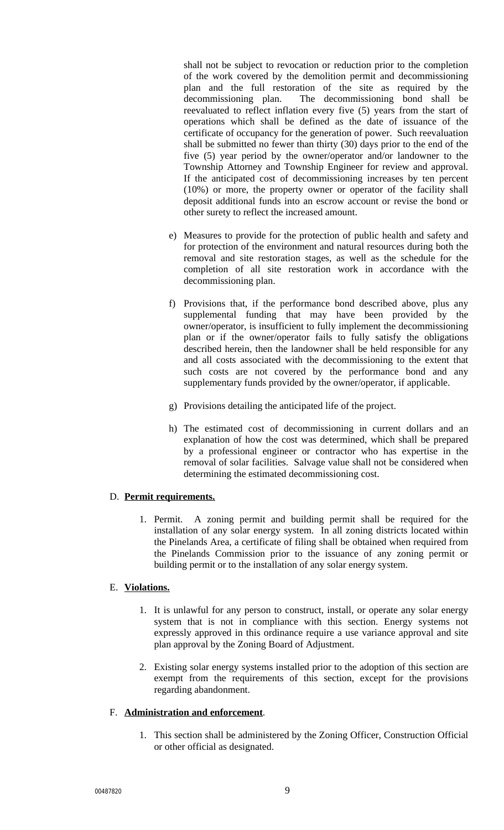shall not be subject to revocation or reduction prior to the completion of the work covered by the demolition permit and decommissioning plan and the full restoration of the site as required by the decommissioning plan. The decommissioning bond shall be reevaluated to reflect inflation every five (5) years from the start of operations which shall be defined as the date of issuance of the certificate of occupancy for the generation of power. Such reevaluation shall be submitted no fewer than thirty (30) days prior to the end of the five (5) year period by the owner/operator and/or landowner to the Township Attorney and Township Engineer for review and approval. If the anticipated cost of decommissioning increases by ten percent (10%) or more, the property owner or operator of the facility shall deposit additional funds into an escrow account or revise the bond or other surety to reflect the increased amount.

- e) Measures to provide for the protection of public health and safety and for protection of the environment and natural resources during both the removal and site restoration stages, as well as the schedule for the completion of all site restoration work in accordance with the decommissioning plan.
- f) Provisions that, if the performance bond described above, plus any supplemental funding that may have been provided by the owner/operator, is insufficient to fully implement the decommissioning plan or if the owner/operator fails to fully satisfy the obligations described herein, then the landowner shall be held responsible for any and all costs associated with the decommissioning to the extent that such costs are not covered by the performance bond and any supplementary funds provided by the owner/operator, if applicable.
- g) Provisions detailing the anticipated life of the project.
- h) The estimated cost of decommissioning in current dollars and an explanation of how the cost was determined, which shall be prepared by a professional engineer or contractor who has expertise in the removal of solar facilities. Salvage value shall not be considered when determining the estimated decommissioning cost.

### D. **Permit requirements.**

1. Permit. A zoning permit and building permit shall be required for the installation of any solar energy system. In all zoning districts located within the Pinelands Area, a certificate of filing shall be obtained when required from the Pinelands Commission prior to the issuance of any zoning permit or building permit or to the installation of any solar energy system.

### E. **Violations.**

- 1. It is unlawful for any person to construct, install, or operate any solar energy system that is not in compliance with this section. Energy systems not expressly approved in this ordinance require a use variance approval and site plan approval by the Zoning Board of Adjustment.
- 2. Existing solar energy systems installed prior to the adoption of this section are exempt from the requirements of this section, except for the provisions regarding abandonment.

### F. **Administration and enforcement**.

1. This section shall be administered by the Zoning Officer, Construction Official or other official as designated.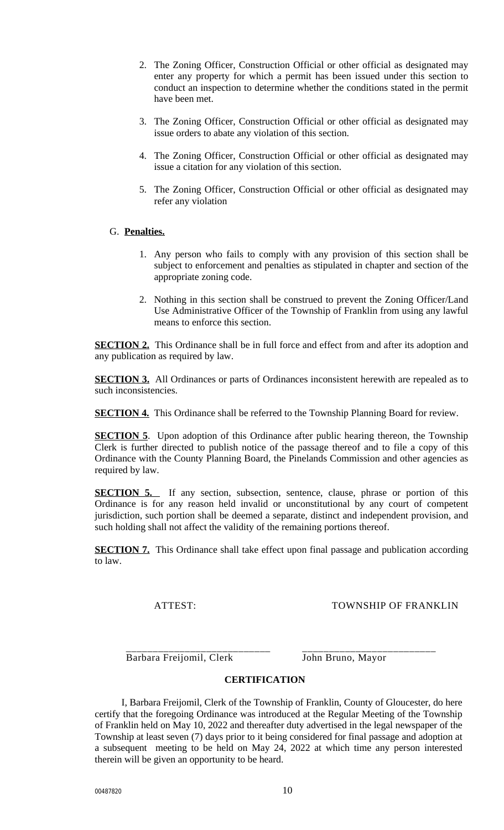- 2. The Zoning Officer, Construction Official or other official as designated may enter any property for which a permit has been issued under this section to conduct an inspection to determine whether the conditions stated in the permit have been met.
- 3. The Zoning Officer, Construction Official or other official as designated may issue orders to abate any violation of this section.
- 4. The Zoning Officer, Construction Official or other official as designated may issue a citation for any violation of this section.
- 5. The Zoning Officer, Construction Official or other official as designated may refer any violation

### G. **Penalties.**

- 1. Any person who fails to comply with any provision of this section shall be subject to enforcement and penalties as stipulated in chapter and section of the appropriate zoning code.
- 2. Nothing in this section shall be construed to prevent the Zoning Officer/Land Use Administrative Officer of the Township of Franklin from using any lawful means to enforce this section.

**SECTION 2.** This Ordinance shall be in full force and effect from and after its adoption and any publication as required by law.

**SECTION 3.** All Ordinances or parts of Ordinances inconsistent herewith are repealed as to such inconsistencies.

**SECTION 4.** This Ordinance shall be referred to the Township Planning Board for review.

**SECTION 5**. Upon adoption of this Ordinance after public hearing thereon, the Township Clerk is further directed to publish notice of the passage thereof and to file a copy of this Ordinance with the County Planning Board, the Pinelands Commission and other agencies as required by law.

**SECTION 5.** If any section, subsection, sentence, clause, phrase or portion of this Ordinance is for any reason held invalid or unconstitutional by any court of competent jurisdiction, such portion shall be deemed a separate, distinct and independent provision, and such holding shall not affect the validity of the remaining portions thereof.

**SECTION 7.** This Ordinance shall take effect upon final passage and publication according to law.

ATTEST: TOWNSHIP OF FRANKLIN

\_\_\_\_\_\_\_\_\_\_\_\_\_\_\_\_\_\_\_\_\_\_\_\_\_\_\_ \_\_\_\_\_\_\_\_\_\_\_\_\_\_\_\_\_\_\_\_\_\_\_\_\_ Barbara Freijomil, Clerk John Bruno, Mayor

### **CERTIFICATION**

I, Barbara Freijomil, Clerk of the Township of Franklin, County of Gloucester, do here certify that the foregoing Ordinance was introduced at the Regular Meeting of the Township of Franklin held on May 10, 2022 and thereafter duty advertised in the legal newspaper of the Township at least seven (7) days prior to it being considered for final passage and adoption at a subsequent meeting to be held on May 24, 2022 at which time any person interested therein will be given an opportunity to be heard.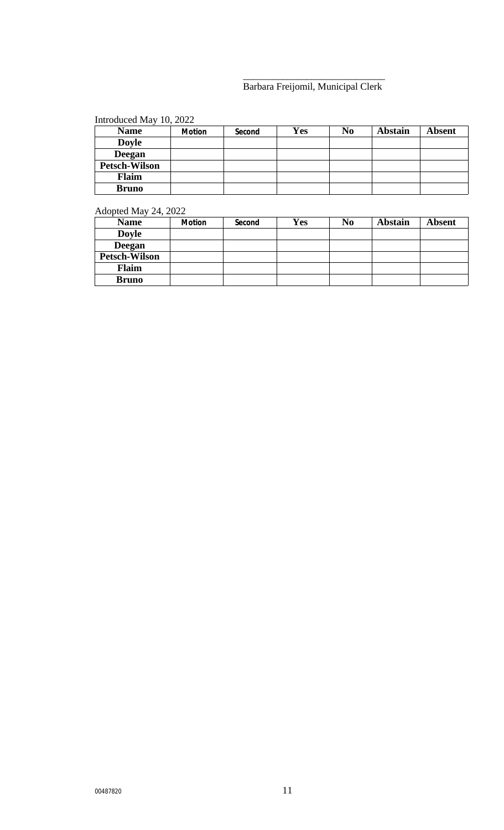#### \_\_\_\_\_\_\_\_\_\_\_\_\_\_\_\_\_\_\_\_\_\_\_\_\_\_\_\_\_ Barbara Freijomil, Municipal Clerk

# Introduced May 10, 2022

| <b>Name</b>          | Motion | Second | Yes | N <sub>0</sub> | <b>Abstain</b> | <b>Absent</b> |
|----------------------|--------|--------|-----|----------------|----------------|---------------|
| <b>Doyle</b>         |        |        |     |                |                |               |
| <b>Deegan</b>        |        |        |     |                |                |               |
| <b>Petsch-Wilson</b> |        |        |     |                |                |               |
| <b>Flaim</b>         |        |        |     |                |                |               |
| <b>Bruno</b>         |        |        |     |                |                |               |

## Adopted May 24, 2022

| <b>Name</b>          | Motion | Second | Yes | N <sub>0</sub> | <b>Abstain</b> | <b>Absent</b> |
|----------------------|--------|--------|-----|----------------|----------------|---------------|
| <b>Doyle</b>         |        |        |     |                |                |               |
| <b>Deegan</b>        |        |        |     |                |                |               |
| <b>Petsch-Wilson</b> |        |        |     |                |                |               |
| <b>Flaim</b>         |        |        |     |                |                |               |
| <b>Bruno</b>         |        |        |     |                |                |               |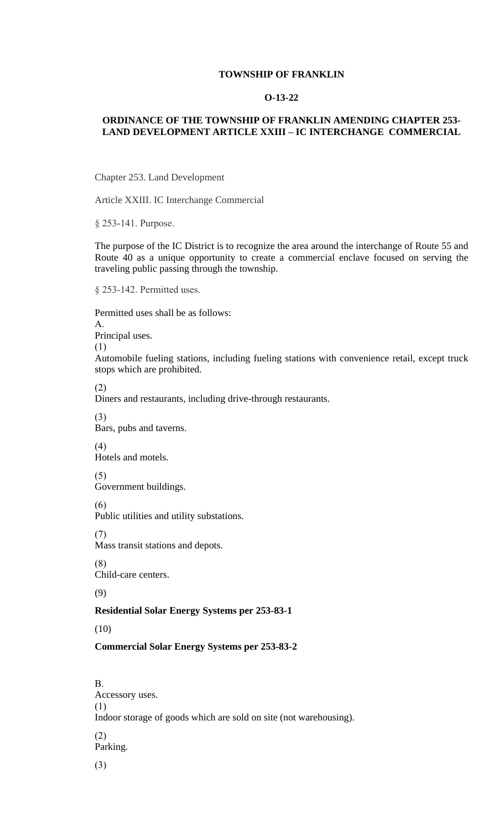Chapter 253. Land Development

Article XXIII. IC Interchange Commercial

§ 253-141. Purpose.

The purpose of the IC District is to recognize the area around the interchange of Route 55 and Route 40 as a unique opportunity to create a commercial enclave focused on serving the traveling public passing through the township.

§ 253-142. Permitted uses.

Permitted uses shall be as follows:

A.

Principal uses.

(1)

[Automobile](https://ecode360.com/print/FR0192?guid=9929049,9929050,9929071#9926814) fueling stations, including fueling stations with convenience retail, except truck [stops which are prohibited.](https://ecode360.com/print/FR0192?guid=9929049,9929050,9929071#9929048)

(2)

[Diners and restauran](https://ecode360.com/print/FR0192?guid=9929049,9929050,9929071#9929049)ts, including drive-through restaurants.

(3)

Bars, pubs and taverns.

(4) [Hotels and motels.](https://ecode360.com/print/FR0192?guid=9929049,9929050,9929071#9929050)

(5)

Government buildings.

[\(6\)](https://ecode360.com/print/9929051#9929051) 

[Pub](https://ecode360.com/print/9929052#9929052)lic utilities and utility substations.

(7)

Mass transit stations and depots.

[\(8\)](https://ecode360.com/print/9929053#9929053) 

Child-care centers.

[\(9\)](https://ecode360.com/print/9929054#9929054)

## **Residential Solar Energy Systems per 253-83-1**

[\(10\)](https://ecode360.com/print/9929055#9929055)

## **[Com](https://ecode360.com/print/9929056#9929056)mercial Solar Energy Systems per 253-83-2**

[B.](https://ecode360.com/print/9929057#9929057) 

Accessory uses.

[\(1\)](https://ecode360.com/print/9929058#9929058) 

Indoor storage of goods which are sold on site (not warehousing).

[\(2\)](https://ecode360.com/print/9929059#9929059)  Parking.

(3)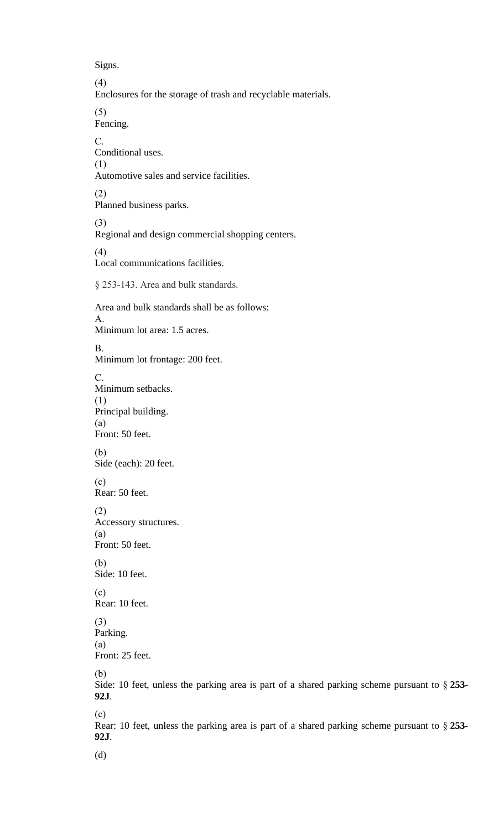Automotive sales and service facilities.

(2) Planned business parks.

(3) Regional and design commercial shopping centers.

(4)

[Loc](https://ecode360.com/print/9929064#9929064)al communications facilities.

[§ 25](https://ecode360.com/print/9929065#9929065)3-143. Area and bulk standards.

Area and bulk standards shall be as follows: [A.](https://ecode360.com/print/9929066#9929066)  Minimum lot area: 1.5 acres. [B.](https://ecode360.com/print/9929067#9929067)  Minimum lot frontage: 200 feet. [C.](https://ecode360.com/print/9929068#9929068)  Minimum setbacks. [\(1\)](https://ecode360.com/print/9929069#9929069)  Principal building. (a) [Fron](https://ecode360.com/print/9929070#9929070)t: 50 feet. (b) [Side \(each\): 20 feet.](https://ecode360.com/print/FR0192?guid=9929049,9929050,9929071#9929071) (c) [Rea](https://ecode360.com/print/9929072#9929072)r: 50 feet. (2) [Ac](https://ecode360.com/print/9929073#9929073)cessory structures. (a) Front: 50 feet.

[\(b\)](https://ecode360.com/print/9929074#9929074) [Side](https://ecode360.com/print/9929075#9929075): 10 feet.

(c) [Rea](https://ecode360.com/print/9929076#9929076)r: 10 feet.

(3) [Park](https://ecode360.com/print/9929077#9929077)ing. (a) [Fron](https://ecode360.com/print/9929078#9929078)t: 25 feet.

(b)

[Side](https://ecode360.com/print/9929079#9929079): 10 feet, unless the parking area is part of a shared parking scheme pursuant to § **253- 92J**.

[\(c\)](https://ecode360.com/print/9929080#9929080) 

Rear: 10 feet, unless the parking area is part of a shared parking scheme pursuant to § **253- [92J](https://ecode360.com/print/9929081#9929081)**.

(d)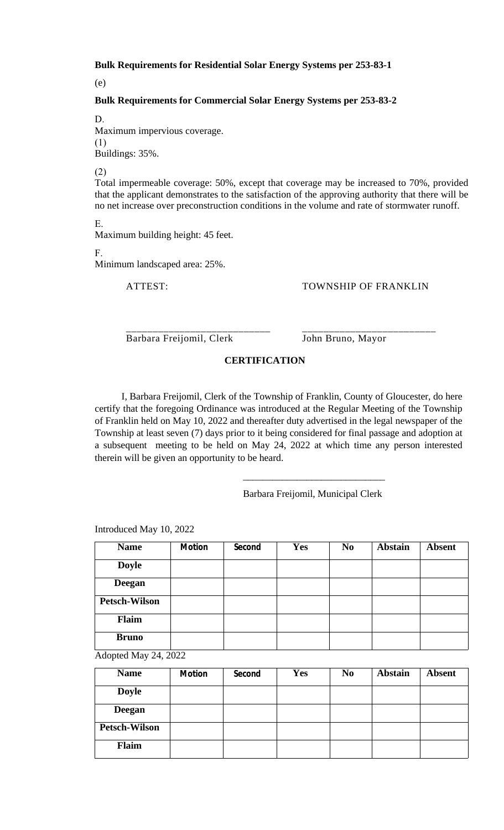Total impermeable coverage: 50%, except that coverage may be increased to 70%, provided that the applicant demonstrates to the satisfaction of the approving authority that there will be no net increase over preconstruction conditions in the volume and rate of stormwater runoff.

E.

Maximum building height: 45 feet.

F.

Minimum landscaped area: 25%.

#### ATTEST: TOWNSHIP OF FRANKLIN

\_\_\_\_\_\_\_\_\_\_\_\_\_\_\_\_\_\_\_\_\_\_\_\_\_\_\_ \_\_\_\_\_\_\_\_\_\_\_\_\_\_\_\_\_\_\_\_\_\_\_\_\_ Barbara Freijomil, Clerk John Bruno, Mayor

#### **CERTIFICATION**

I, Barbara Freijomil, Clerk of the Township of Franklin, County of Gloucester, do here [cer](https://ecode360.com/print/9929090#9929090)tify that the foregoing Ordinance was introduced at the Regular Meeting of the Township of Franklin held on May 10, 2022 and thereafter duty advertised in the legal newspaper of the [To](https://ecode360.com/print/9929091#9929091)wnship at least seven (7) days prior to it being considered for final passage and adoption at a subsequent meeting to be held on May 24, 2022 at which time any person interested therein will be given an opportunity to be heard.

Barbara Freijomil, Municipal Clerk

\_\_\_\_\_\_\_\_\_\_\_\_\_\_\_\_\_\_\_\_\_\_\_\_\_\_\_\_\_

| <b>Name</b>          | <b>Motion</b> | Second | <b>Yes</b> | N <sub>0</sub> | <b>Abstain</b> | <b>Absent</b> |
|----------------------|---------------|--------|------------|----------------|----------------|---------------|
| <b>Doyle</b>         |               |        |            |                |                |               |
| <b>Deegan</b>        |               |        |            |                |                |               |
| <b>Petsch-Wilson</b> |               |        |            |                |                |               |
| Flaim                |               |        |            |                |                |               |
| <b>Bruno</b>         |               |        |            |                |                |               |

Introduced May 10, 2022

Adopted May 24, 2022

| <b>Name</b>          | <b>Motion</b> | Second | <b>Yes</b> | N <sub>0</sub> | <b>Abstain</b> | <b>Absent</b> |
|----------------------|---------------|--------|------------|----------------|----------------|---------------|
| <b>Doyle</b>         |               |        |            |                |                |               |
| <b>Deegan</b>        |               |        |            |                |                |               |
| <b>Petsch-Wilson</b> |               |        |            |                |                |               |
| Flaim                |               |        |            |                |                |               |